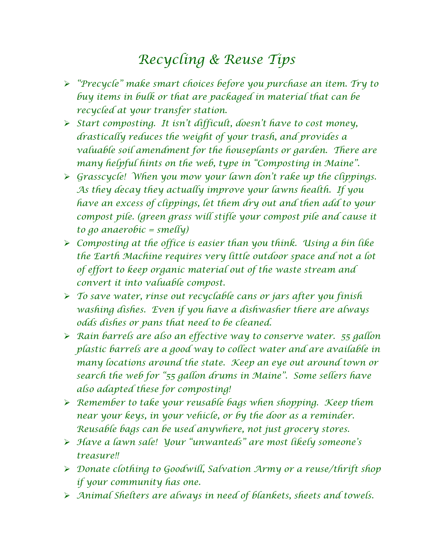## *Recycling & Reuse Tips*

- *"Precycle" make smart choices before you purchase an item. Try to buy items in bulk or that are packaged in material that can be recycled at your transfer station.*
- *Start composting. It isn't difficult, doesn't have to cost money, drastically reduces the weight of your trash, and provides a valuable soil amendment for the houseplants or garden. There are many helpful hints on the web, type in "Composting in Maine".*
- *Grasscycle! When you mow your lawn don't rake up the clippings. As they decay they actually improve your lawns health. If you have an excess of clippings, let them dry out and then add to your compost pile. (green grass will stifle your compost pile and cause it to go anaerobic = smelly)*
- *Composting at the office is easier than you think. Using a bin like the Earth Machine requires very little outdoor space and not a lot of effort to keep organic material out of the waste stream and convert it into valuable compost.*
- *To save water, rinse out recyclable cans or jars after you finish washing dishes. Even if you have a dishwasher there are always odds dishes or pans that need to be cleaned.*
- *Rain barrels are also an effective way to conserve water. 55 gallon plastic barrels are a good way to collect water and are available in many locations around the state. Keep an eye out around town or search the web for "55 gallon drums in Maine". Some sellers have also adapted these for composting!*
- *Remember to take your reusable bags when shopping. Keep them near your keys, in your vehicle, or by the door as a reminder. Reusable bags can be used anywhere, not just grocery stores.*
- *Have a lawn sale! Your "unwanteds" are most likely someone's treasure!!*
- *Donate clothing to Goodwill, Salvation Army or a reuse/thrift shop if your community has one.*
- *Animal Shelters are always in need of blankets, sheets and towels.*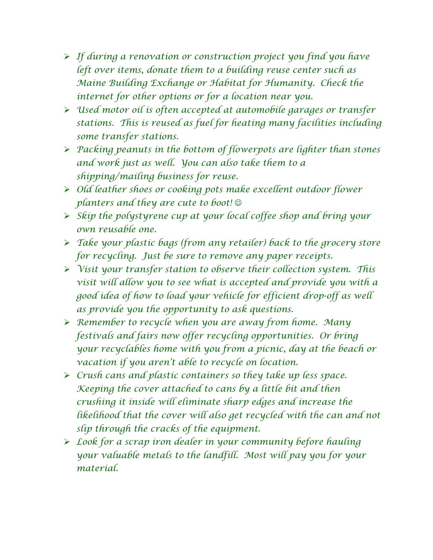- *If during a renovation or construction project you find you have left over items, donate them to a building reuse center such as Maine Building Exchange or Habitat for Humanity. Check the internet for other options or for a location near you.*
- *Used motor oil is often accepted at automobile garages or transfer stations. This is reused as fuel for heating many facilities including some transfer stations.*
- *Packing peanuts in the bottom of flowerpots are lighter than stones and work just as well. You can also take them to a shipping/mailing business for reuse.*
- *Old leather shoes or cooking pots make excellent outdoor flower planters and they are cute to boot!*
- *Skip the polystyrene cup at your local coffee shop and bring your own reusable one.*
- *Take your plastic bags (from any retailer) back to the grocery store for recycling. Just be sure to remove any paper receipts.*
- *Visit your transfer station to observe their collection system. This visit will allow you to see what is accepted and provide you with a good idea of how to load your vehicle for efficient drop-off as well as provide you the opportunity to ask questions.*
- *Remember to recycle when you are away from home. Many festivals and fairs now offer recycling opportunities. Or bring your recyclables home with you from a picnic, day at the beach or vacation if you aren't able to recycle on location.*
- *Crush cans and plastic containers so they take up less space. Keeping the cover attached to cans by a little bit and then crushing it inside will eliminate sharp edges and increase the likelihood that the cover will also get recycled with the can and not slip through the cracks of the equipment.*
- *Look for a scrap iron dealer in your community before hauling your valuable metals to the landfill. Most will pay you for your material.*